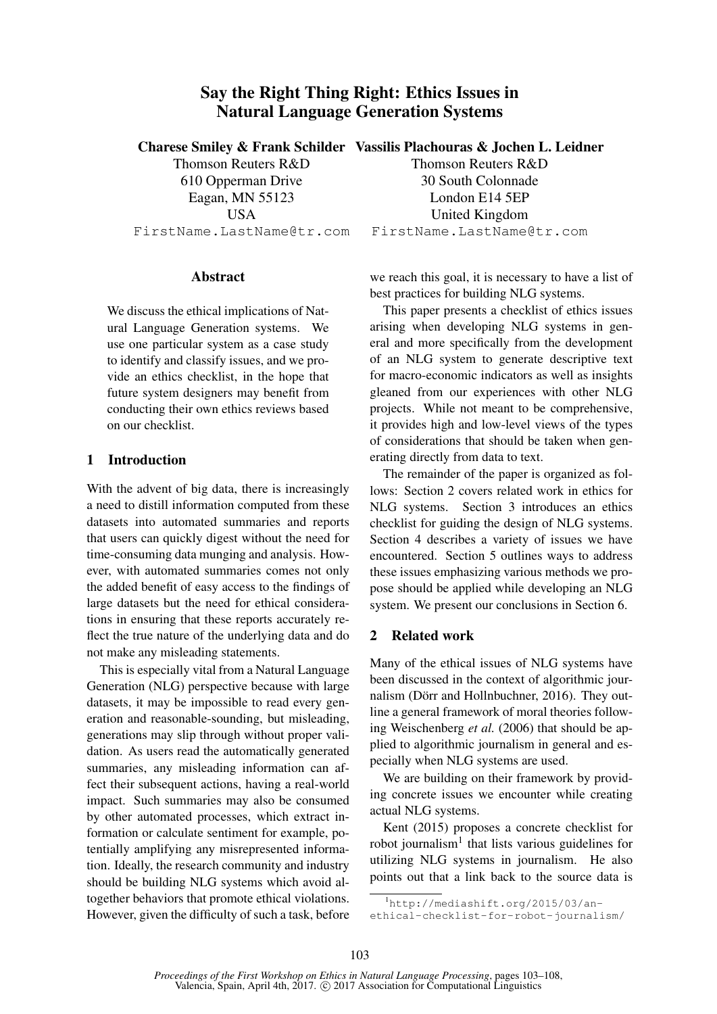# Say the Right Thing Right: Ethics Issues in Natural Language Generation Systems

Thomson Reuters R&D 610 Opperman Drive Eagan, MN 55123 USA FirstName.LastName@tr.com

#### Abstract

We discuss the ethical implications of Natural Language Generation systems. We use one particular system as a case study to identify and classify issues, and we provide an ethics checklist, in the hope that future system designers may benefit from conducting their own ethics reviews based on our checklist.

### 1 Introduction

With the advent of big data, there is increasingly a need to distill information computed from these datasets into automated summaries and reports that users can quickly digest without the need for time-consuming data munging and analysis. However, with automated summaries comes not only the added benefit of easy access to the findings of large datasets but the need for ethical considerations in ensuring that these reports accurately reflect the true nature of the underlying data and do not make any misleading statements.

This is especially vital from a Natural Language Generation (NLG) perspective because with large datasets, it may be impossible to read every generation and reasonable-sounding, but misleading, generations may slip through without proper validation. As users read the automatically generated summaries, any misleading information can affect their subsequent actions, having a real-world impact. Such summaries may also be consumed by other automated processes, which extract information or calculate sentiment for example, potentially amplifying any misrepresented information. Ideally, the research community and industry should be building NLG systems which avoid altogether behaviors that promote ethical violations. However, given the difficulty of such a task, before

# Charese Smiley & Frank Schilder Vassilis Plachouras & Jochen L. Leidner

Thomson Reuters R&D 30 South Colonnade London E14 5EP United Kingdom FirstName.LastName@tr.com

we reach this goal, it is necessary to have a list of best practices for building NLG systems.

This paper presents a checklist of ethics issues arising when developing NLG systems in general and more specifically from the development of an NLG system to generate descriptive text for macro-economic indicators as well as insights gleaned from our experiences with other NLG projects. While not meant to be comprehensive, it provides high and low-level views of the types of considerations that should be taken when generating directly from data to text.

The remainder of the paper is organized as follows: Section 2 covers related work in ethics for NLG systems. Section 3 introduces an ethics checklist for guiding the design of NLG systems. Section 4 describes a variety of issues we have encountered. Section 5 outlines ways to address these issues emphasizing various methods we propose should be applied while developing an NLG system. We present our conclusions in Section 6.

#### 2 Related work

Many of the ethical issues of NLG systems have been discussed in the context of algorithmic journalism (Dörr and Hollnbuchner, 2016). They outline a general framework of moral theories following Weischenberg *et al.* (2006) that should be applied to algorithmic journalism in general and especially when NLG systems are used.

We are building on their framework by providing concrete issues we encounter while creating actual NLG systems.

Kent (2015) proposes a concrete checklist for robot journalism<sup>1</sup> that lists various guidelines for utilizing NLG systems in journalism. He also points out that a link back to the source data is

<sup>1</sup>http://mediashift.org/2015/03/an-

ethical-checklist-for-robot-journalism/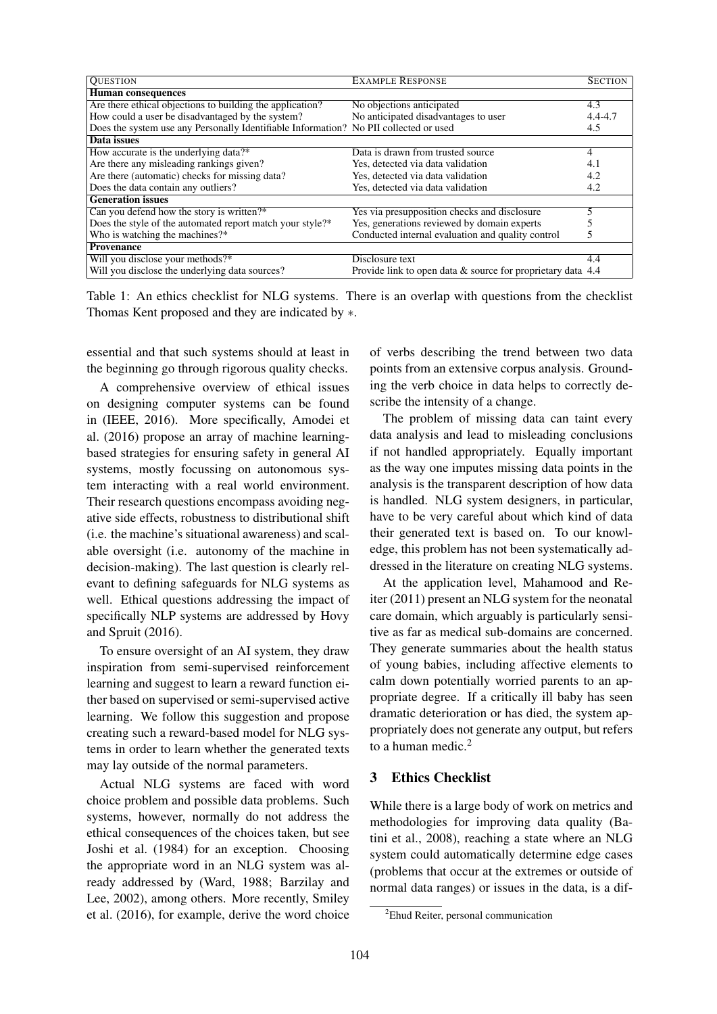| <b>QUESTION</b>                                                                       | <b>EXAMPLE RESPONSE</b>                                     | <b>SECTION</b> |
|---------------------------------------------------------------------------------------|-------------------------------------------------------------|----------------|
| <b>Human</b> consequences                                                             |                                                             |                |
| Are there ethical objections to building the application?                             | No objections anticipated                                   | 4.3            |
| How could a user be disadvantaged by the system?                                      | No anticipated disadvantages to user                        | $4.4 - 4.7$    |
| Does the system use any Personally Identifiable Information? No PII collected or used |                                                             | 4.5            |
| Data issues                                                                           |                                                             |                |
| How accurate is the underlying data?*                                                 | Data is drawn from trusted source                           | 4              |
| Are there any misleading rankings given?                                              | Yes, detected via data validation                           | 4.1            |
| Are there (automatic) checks for missing data?                                        | Yes, detected via data validation                           | 4.2            |
| Does the data contain any outliers?                                                   | Yes, detected via data validation                           | 4.2            |
| <b>Generation issues</b>                                                              |                                                             |                |
| Can you defend how the story is written?*                                             | Yes via presupposition checks and disclosure                | 5              |
| Does the style of the automated report match your style?*                             | Yes, generations reviewed by domain experts                 |                |
| Who is watching the machines?*                                                        | Conducted internal evaluation and quality control           | 5              |
| <b>Provenance</b>                                                                     |                                                             |                |
| Will you disclose your methods?*                                                      | Disclosure text                                             | 4.4            |
| Will you disclose the underlying data sources?                                        | Provide link to open data & source for proprietary data 4.4 |                |

Table 1: An ethics checklist for NLG systems. There is an overlap with questions from the checklist Thomas Kent proposed and they are indicated by ∗.

essential and that such systems should at least in the beginning go through rigorous quality checks.

A comprehensive overview of ethical issues on designing computer systems can be found in (IEEE, 2016). More specifically, Amodei et al. (2016) propose an array of machine learningbased strategies for ensuring safety in general AI systems, mostly focussing on autonomous system interacting with a real world environment. Their research questions encompass avoiding negative side effects, robustness to distributional shift (i.e. the machine's situational awareness) and scalable oversight (i.e. autonomy of the machine in decision-making). The last question is clearly relevant to defining safeguards for NLG systems as well. Ethical questions addressing the impact of specifically NLP systems are addressed by Hovy and Spruit (2016).

To ensure oversight of an AI system, they draw inspiration from semi-supervised reinforcement learning and suggest to learn a reward function either based on supervised or semi-supervised active learning. We follow this suggestion and propose creating such a reward-based model for NLG systems in order to learn whether the generated texts may lay outside of the normal parameters.

Actual NLG systems are faced with word choice problem and possible data problems. Such systems, however, normally do not address the ethical consequences of the choices taken, but see Joshi et al. (1984) for an exception. Choosing the appropriate word in an NLG system was already addressed by (Ward, 1988; Barzilay and Lee, 2002), among others. More recently, Smiley et al. (2016), for example, derive the word choice of verbs describing the trend between two data points from an extensive corpus analysis. Grounding the verb choice in data helps to correctly describe the intensity of a change.

The problem of missing data can taint every data analysis and lead to misleading conclusions if not handled appropriately. Equally important as the way one imputes missing data points in the analysis is the transparent description of how data is handled. NLG system designers, in particular, have to be very careful about which kind of data their generated text is based on. To our knowledge, this problem has not been systematically addressed in the literature on creating NLG systems.

At the application level, Mahamood and Reiter (2011) present an NLG system for the neonatal care domain, which arguably is particularly sensitive as far as medical sub-domains are concerned. They generate summaries about the health status of young babies, including affective elements to calm down potentially worried parents to an appropriate degree. If a critically ill baby has seen dramatic deterioration or has died, the system appropriately does not generate any output, but refers to a human medic.<sup>2</sup>

# 3 Ethics Checklist

While there is a large body of work on metrics and methodologies for improving data quality (Batini et al., 2008), reaching a state where an NLG system could automatically determine edge cases (problems that occur at the extremes or outside of normal data ranges) or issues in the data, is a dif-

<sup>&</sup>lt;sup>2</sup>Ehud Reiter, personal communication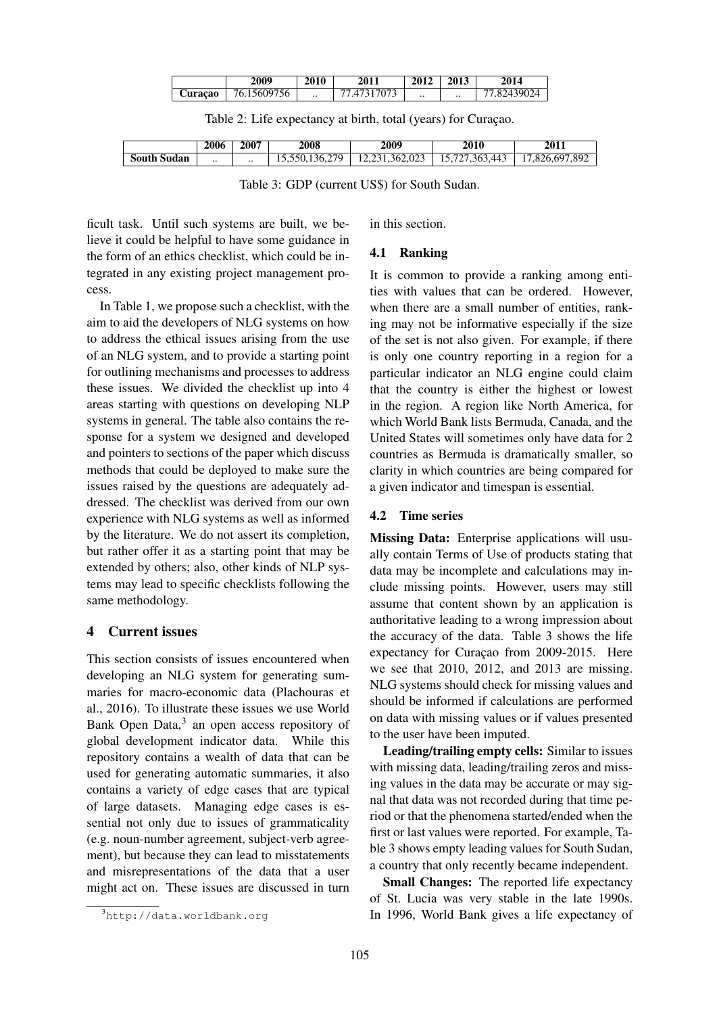|         | 2009        | 2010      | 2011      | 2012      | 2013      | 2014        |
|---------|-------------|-----------|-----------|-----------|-----------|-------------|
| Curacao | 76.15609756 | $\cdot$ . | .47317073 | $\cdot$ . | $\cdot$ . | 77.82439024 |

Table 2: Life expectancy at birth, total (years) for Curaçao.

|                | 2006            | 2007      | 2008                     | 2009                                             | 2010                   | 2011             |
|----------------|-----------------|-----------|--------------------------|--------------------------------------------------|------------------------|------------------|
| South<br>Sudan | $\cdot$ $\cdot$ | $\cdot$ . | 279<br>ヾ<br>10.000.100.2 | $\Omega$<br>۹h<br>ل 202.02 <i>.</i> 1<br>$1 + 1$ | .10<br>3h<br>44<br>. . | '.892<br>,826,69 |

Table 3: GDP (current US\$) for South Sudan.

ficult task. Until such systems are built, we believe it could be helpful to have some guidance in the form of an ethics checklist, which could be integrated in any existing project management process.

In Table 1, we propose such a checklist, with the aim to aid the developers of NLG systems on how to address the ethical issues arising from the use of an NLG system, and to provide a starting point for outlining mechanisms and processes to address these issues. We divided the checklist up into 4 areas starting with questions on developing NLP systems in general. The table also contains the response for a system we designed and developed and pointers to sections of the paper which discuss methods that could be deployed to make sure the issues raised by the questions are adequately addressed. The checklist was derived from our own experience with NLG systems as well as informed by the literature. We do not assert its completion, but rather offer it as a starting point that may be extended by others; also, other kinds of NLP systems may lead to specific checklists following the same methodology.

# 4 Current issues

This section consists of issues encountered when developing an NLG system for generating summaries for macro-economic data (Plachouras et al., 2016). To illustrate these issues we use World Bank Open Data,<sup>3</sup> an open access repository of global development indicator data. While this repository contains a wealth of data that can be used for generating automatic summaries, it also contains a variety of edge cases that are typical of large datasets. Managing edge cases is essential not only due to issues of grammaticality (e.g. noun-number agreement, subject-verb agreement), but because they can lead to misstatements and misrepresentations of the data that a user might act on. These issues are discussed in turn

<sup>3</sup>http://data.worldbank.org

in this section.

# 4.1 Ranking

It is common to provide a ranking among entities with values that can be ordered. However, when there are a small number of entities, ranking may not be informative especially if the size of the set is not also given. For example, if there is only one country reporting in a region for a particular indicator an NLG engine could claim that the country is either the highest or lowest in the region. A region like North America, for which World Bank lists Bermuda, Canada, and the United States will sometimes only have data for 2 countries as Bermuda is dramatically smaller, so clarity in which countries are being compared for a given indicator and timespan is essential.

### 4.2 Time series

Missing Data: Enterprise applications will usually contain Terms of Use of products stating that data may be incomplete and calculations may include missing points. However, users may still assume that content shown by an application is authoritative leading to a wrong impression about the accuracy of the data. Table 3 shows the life expectancy for Curaçao from 2009-2015. Here we see that 2010, 2012, and 2013 are missing. NLG systems should check for missing values and should be informed if calculations are performed on data with missing values or if values presented to the user have been imputed.

Leading/trailing empty cells: Similar to issues with missing data, leading/trailing zeros and missing values in the data may be accurate or may signal that data was not recorded during that time period or that the phenomena started/ended when the first or last values were reported. For example, Table 3 shows empty leading values for South Sudan, a country that only recently became independent.

Small Changes: The reported life expectancy of St. Lucia was very stable in the late 1990s. In 1996, World Bank gives a life expectancy of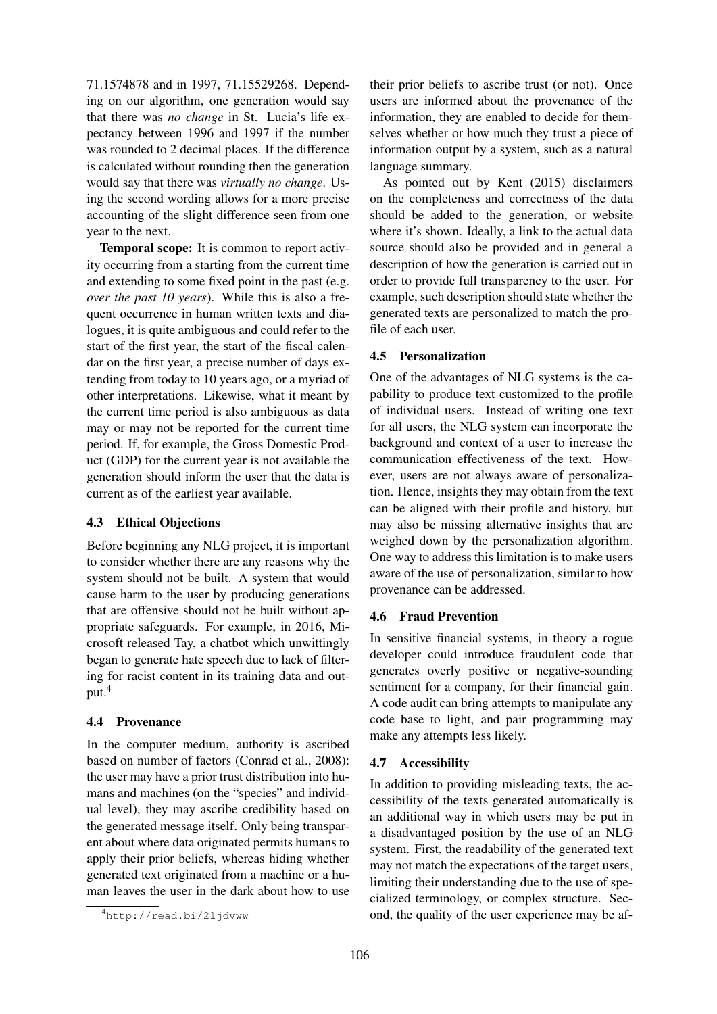71.1574878 and in 1997, 71.15529268. Depending on our algorithm, one generation would say that there was *no change* in St. Lucia's life expectancy between 1996 and 1997 if the number was rounded to 2 decimal places. If the difference is calculated without rounding then the generation would say that there was *virtually no change*. Using the second wording allows for a more precise accounting of the slight difference seen from one year to the next.

Temporal scope: It is common to report activity occurring from a starting from the current time and extending to some fixed point in the past (e.g. *over the past 10 years*). While this is also a frequent occurrence in human written texts and dialogues, it is quite ambiguous and could refer to the start of the first year, the start of the fiscal calendar on the first year, a precise number of days extending from today to 10 years ago, or a myriad of other interpretations. Likewise, what it meant by the current time period is also ambiguous as data may or may not be reported for the current time period. If, for example, the Gross Domestic Product (GDP) for the current year is not available the generation should inform the user that the data is current as of the earliest year available.

### 4.3 Ethical Objections

Before beginning any NLG project, it is important to consider whether there are any reasons why the system should not be built. A system that would cause harm to the user by producing generations that are offensive should not be built without appropriate safeguards. For example, in 2016, Microsoft released Tay, a chatbot which unwittingly began to generate hate speech due to lack of filtering for racist content in its training data and output.<sup>4</sup>

### 4.4 Provenance

In the computer medium, authority is ascribed based on number of factors (Conrad et al., 2008): the user may have a prior trust distribution into humans and machines (on the "species" and individual level), they may ascribe credibility based on the generated message itself. Only being transparent about where data originated permits humans to apply their prior beliefs, whereas hiding whether generated text originated from a machine or a human leaves the user in the dark about how to use

their prior beliefs to ascribe trust (or not). Once users are informed about the provenance of the information, they are enabled to decide for themselves whether or how much they trust a piece of information output by a system, such as a natural language summary.

As pointed out by Kent (2015) disclaimers on the completeness and correctness of the data should be added to the generation, or website where it's shown. Ideally, a link to the actual data source should also be provided and in general a description of how the generation is carried out in order to provide full transparency to the user. For example, such description should state whether the generated texts are personalized to match the profile of each user.

#### 4.5 Personalization

One of the advantages of NLG systems is the capability to produce text customized to the profile of individual users. Instead of writing one text for all users, the NLG system can incorporate the background and context of a user to increase the communication effectiveness of the text. However, users are not always aware of personalization. Hence, insights they may obtain from the text can be aligned with their profile and history, but may also be missing alternative insights that are weighed down by the personalization algorithm. One way to address this limitation is to make users aware of the use of personalization, similar to how provenance can be addressed.

#### 4.6 Fraud Prevention

In sensitive financial systems, in theory a rogue developer could introduce fraudulent code that generates overly positive or negative-sounding sentiment for a company, for their financial gain. A code audit can bring attempts to manipulate any code base to light, and pair programming may make any attempts less likely.

#### 4.7 Accessibility

In addition to providing misleading texts, the accessibility of the texts generated automatically is an additional way in which users may be put in a disadvantaged position by the use of an NLG system. First, the readability of the generated text may not match the expectations of the target users, limiting their understanding due to the use of specialized terminology, or complex structure. Second, the quality of the user experience may be af-

<sup>4</sup>http://read.bi/2ljdvww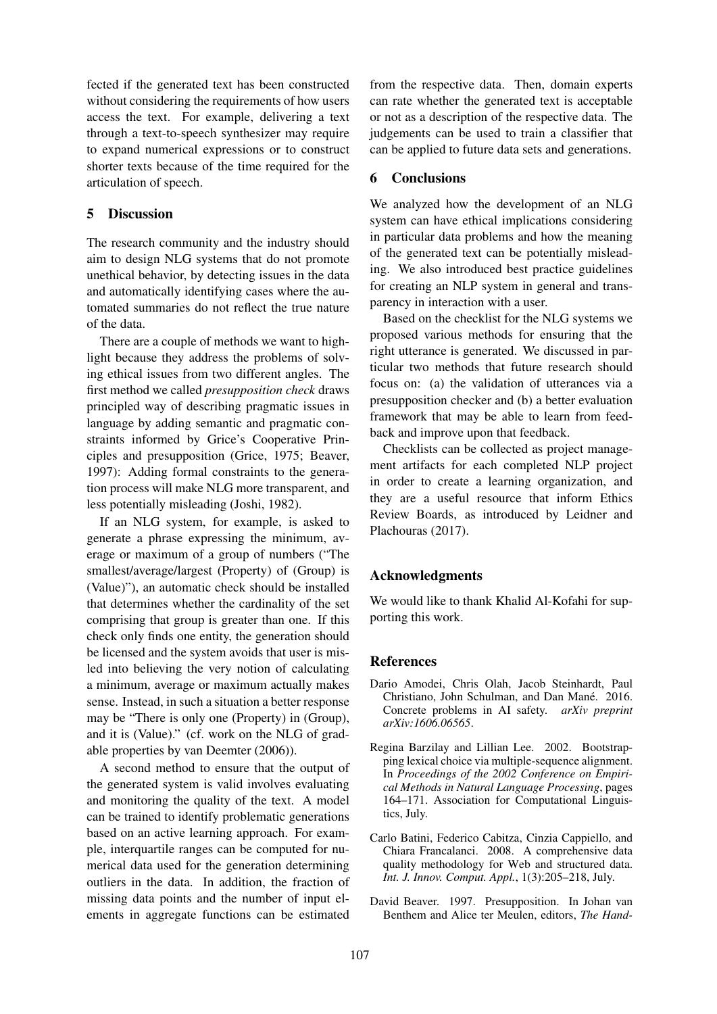fected if the generated text has been constructed without considering the requirements of how users access the text. For example, delivering a text through a text-to-speech synthesizer may require to expand numerical expressions or to construct shorter texts because of the time required for the articulation of speech.

#### 5 Discussion

The research community and the industry should aim to design NLG systems that do not promote unethical behavior, by detecting issues in the data and automatically identifying cases where the automated summaries do not reflect the true nature of the data.

There are a couple of methods we want to highlight because they address the problems of solving ethical issues from two different angles. The first method we called *presupposition check* draws principled way of describing pragmatic issues in language by adding semantic and pragmatic constraints informed by Grice's Cooperative Principles and presupposition (Grice, 1975; Beaver, 1997): Adding formal constraints to the generation process will make NLG more transparent, and less potentially misleading (Joshi, 1982).

If an NLG system, for example, is asked to generate a phrase expressing the minimum, average or maximum of a group of numbers ("The smallest/average/largest (Property) of (Group) is (Value)"), an automatic check should be installed that determines whether the cardinality of the set comprising that group is greater than one. If this check only finds one entity, the generation should be licensed and the system avoids that user is misled into believing the very notion of calculating a minimum, average or maximum actually makes sense. Instead, in such a situation a better response may be "There is only one (Property) in (Group), and it is (Value)." (cf. work on the NLG of gradable properties by van Deemter (2006)).

A second method to ensure that the output of the generated system is valid involves evaluating and monitoring the quality of the text. A model can be trained to identify problematic generations based on an active learning approach. For example, interquartile ranges can be computed for numerical data used for the generation determining outliers in the data. In addition, the fraction of missing data points and the number of input elements in aggregate functions can be estimated

from the respective data. Then, domain experts can rate whether the generated text is acceptable or not as a description of the respective data. The judgements can be used to train a classifier that can be applied to future data sets and generations.

### 6 Conclusions

We analyzed how the development of an NLG system can have ethical implications considering in particular data problems and how the meaning of the generated text can be potentially misleading. We also introduced best practice guidelines for creating an NLP system in general and transparency in interaction with a user.

Based on the checklist for the NLG systems we proposed various methods for ensuring that the right utterance is generated. We discussed in particular two methods that future research should focus on: (a) the validation of utterances via a presupposition checker and (b) a better evaluation framework that may be able to learn from feedback and improve upon that feedback.

Checklists can be collected as project management artifacts for each completed NLP project in order to create a learning organization, and they are a useful resource that inform Ethics Review Boards, as introduced by Leidner and Plachouras (2017).

# Acknowledgments

We would like to thank Khalid Al-Kofahi for supporting this work.

#### References

- Dario Amodei, Chris Olah, Jacob Steinhardt, Paul Christiano, John Schulman, and Dan Mané. 2016. Concrete problems in AI safety. *arXiv preprint arXiv:1606.06565*.
- Regina Barzilay and Lillian Lee. 2002. Bootstrapping lexical choice via multiple-sequence alignment. In *Proceedings of the 2002 Conference on Empirical Methods in Natural Language Processing*, pages 164–171. Association for Computational Linguistics, July.
- Carlo Batini, Federico Cabitza, Cinzia Cappiello, and Chiara Francalanci. 2008. A comprehensive data quality methodology for Web and structured data. *Int. J. Innov. Comput. Appl.*, 1(3):205–218, July.
- David Beaver. 1997. Presupposition. In Johan van Benthem and Alice ter Meulen, editors, *The Hand-*